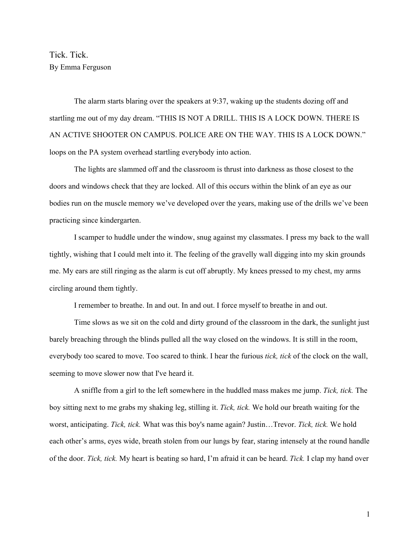Tick. Tick. By Emma Ferguson

The alarm starts blaring over the speakers at 9:37, waking up the students dozing off and startling me out of my day dream. "THIS IS NOT A DRILL. THIS IS A LOCK DOWN. THERE IS AN ACTIVE SHOOTER ON CAMPUS. POLICE ARE ON THE WAY. THIS IS A LOCK DOWN." loops on the PA system overhead startling everybody into action.

The lights are slammed off and the classroom is thrust into darkness as those closest to the doors and windows check that they are locked. All of this occurs within the blink of an eye as our bodies run on the muscle memory we've developed over the years, making use of the drills we've been practicing since kindergarten.

I scamper to huddle under the window, snug against my classmates. I press my back to the wall tightly, wishing that I could melt into it. The feeling of the gravelly wall digging into my skin grounds me. My ears are still ringing as the alarm is cut off abruptly. My knees pressed to my chest, my arms circling around them tightly.

I remember to breathe. In and out. In and out. I force myself to breathe in and out.

Time slows as we sit on the cold and dirty ground of the classroom in the dark, the sunlight just barely breaching through the blinds pulled all the way closed on the windows. It is still in the room, everybody too scared to move. Too scared to think. I hear the furious *tick, tick* of the clock on the wall, seeming to move slower now that I've heard it.

A sniffle from a girl to the left somewhere in the huddled mass makes me jump. *Tick, tick.* The boy sitting next to me grabs my shaking leg, stilling it. *Tick, tick.* We hold our breath waiting for the worst, anticipating. *Tick, tick.* What was this boy's name again? Justin…Trevor. *Tick, tick.* We hold each other's arms, eyes wide, breath stolen from our lungs by fear, staring intensely at the round handle of the door. *Tick, tick.* My heart is beating so hard, I'm afraid it can be heard. *Tick.* I clap my hand over